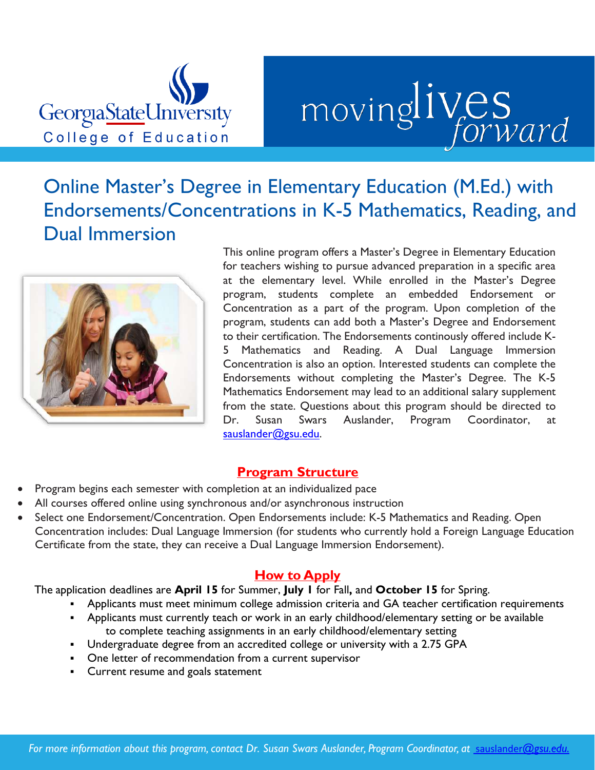

# movinglives

# Online Master's Degree in Elementary Education (M.Ed.) with Endorsements/Concentrations in K-5 Mathematics, Reading, and Dual Immersion This online program offers a Master's Degree in Elementary Education



for teachers wishing to pursue advanced preparation in a specific area at the elementary level. While enrolled in the Master's Degree program, students complete an embedded Endorsement or Concentration as a part of the program. Upon completion of the program, students can add both a Master's Degree and Endorsement to their certification. The Endorsements continously offered include K-5 Mathematics and Reading. A Dual Language Immersion Concentration is also an option. Interested students can complete the Endorsements without completing the Master's Degree. The K-5 Mathematics Endorsement may lead to an additional salary supplement from the state. Questions about this program should be directed to Dr. Susan Swars Auslander, Program Coordinator, at [sauslander@gsu.edu.](mailto:sauslander@gsu.edu)

## **Program Structure**

- Program begins each semester with completion at an individualized pace
- All courses offered online using synchronous and/or asynchronous instruction
- Select one Endorsement/Concentration. Open Endorsements include: K-5 Mathematics and Reading. Open Concentration includes: Dual Language Immersion (for students who currently hold a Foreign Language Education Certificate from the state, they can receive a Dual Language Immersion Endorsement).

## **How to Apply**

The application deadlines are **April 15** for Summer, **July 1** for Fall**,** and **October 15** for Spring.

- Applicants must meet minimum college admission criteria and GA teacher certification requirements
- Applicants must currently teach or work in an early childhood/elementary setting or be available to complete teaching assignments in an early childhood/elementary setting
- Undergraduate degree from an accredited college or university with a 2.75 GPA
- One letter of recommendation from a current supervisor
- Current resume and goals statement